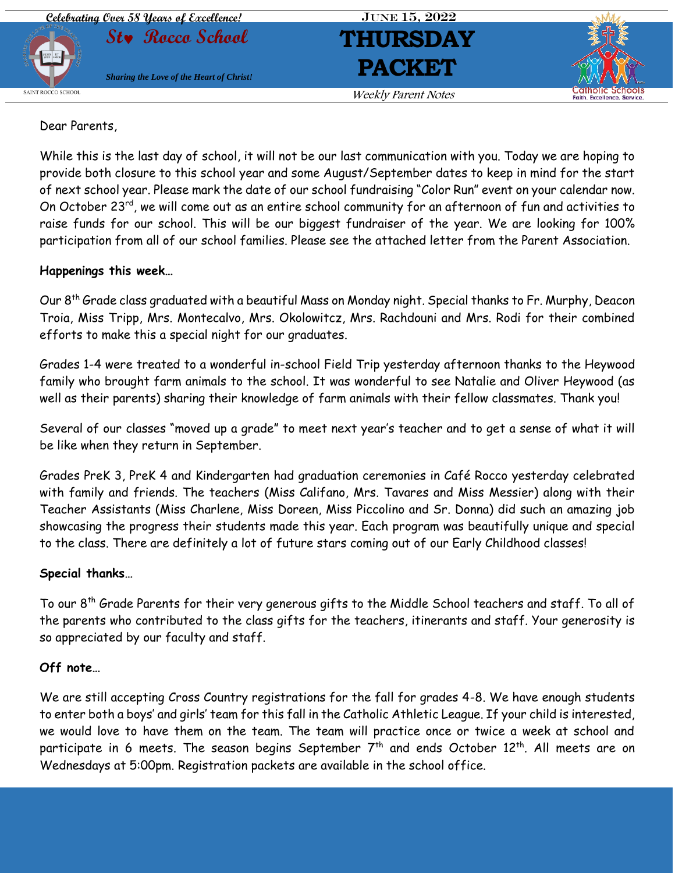

## Dear Parents,

While this is the last day of school, it will not be our last communication with you. Today we are hoping to provide both closure to this school year and some August/September dates to keep in mind for the start of next school year. Please mark the date of our school fundraising "Color Run" event on your calendar now. On October 23<sup>rd</sup>, we will come out as an entire school community for an afternoon of fun and activities to raise funds for our school. This will be our biggest fundraiser of the year. We are looking for 100% participation from all of our school families. Please see the attached letter from the Parent Association.

## **Happenings this week…**

Our 8th Grade class graduated with a beautiful Mass on Monday night. Special thanks to Fr. Murphy, Deacon Troia, Miss Tripp, Mrs. Montecalvo, Mrs. Okolowitcz, Mrs. Rachdouni and Mrs. Rodi for their combined efforts to make this a special night for our graduates.

Grades 1-4 were treated to a wonderful in-school Field Trip yesterday afternoon thanks to the Heywood family who brought farm animals to the school. It was wonderful to see Natalie and Oliver Heywood (as well as their parents) sharing their knowledge of farm animals with their fellow classmates. Thank you!

Several of our classes "moved up a grade" to meet next year's teacher and to get a sense of what it will be like when they return in September.

Grades PreK 3, PreK 4 and Kindergarten had graduation ceremonies in Café Rocco yesterday celebrated with family and friends. The teachers (Miss Califano, Mrs. Tavares and Miss Messier) along with their Teacher Assistants (Miss Charlene, Miss Doreen, Miss Piccolino and Sr. Donna) did such an amazing job showcasing the progress their students made this year. Each program was beautifully unique and special to the class. There are definitely a lot of future stars coming out of our Early Childhood classes!

# **Special thanks…**

To our 8th Grade Parents for their very generous gifts to the Middle School teachers and staff. To all of the parents who contributed to the class gifts for the teachers, itinerants and staff. Your generosity is so appreciated by our faculty and staff.

# **Off note…**

We are still accepting Cross Country registrations for the fall for grades 4-8. We have enough students to enter both a boys' and girls' team for this fall in the Catholic Athletic League. If your child is interested, we would love to have them on the team. The team will practice once or twice a week at school and participate in 6 meets. The season begins September 7<sup>th</sup> and ends October 12<sup>th</sup>. All meets are on Wednesdays at 5:00pm. Registration packets are available in the school office.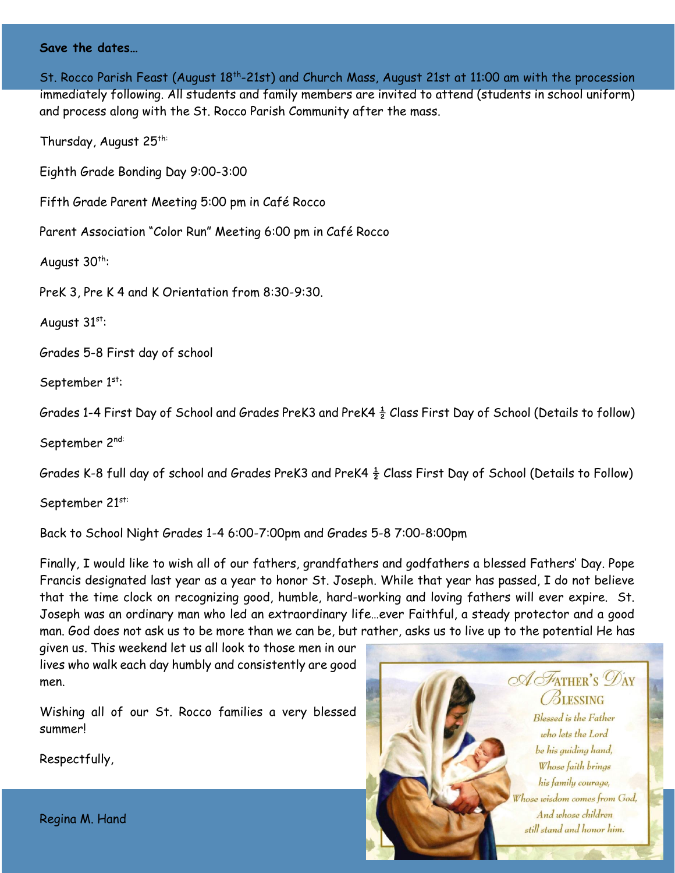### **Save the dates…**

St. Rocco Parish Feast (August 18<sup>th</sup>-21st) and Church Mass, August 21st at 11:00 am with the procession immediately following. All students and family members are invited to attend (students in school uniform) and process along with the St. Rocco Parish Community after the mass.

Thursday, August 25<sup>th:</sup>

Eighth Grade Bonding Day 9:00-3:00

Fifth Grade Parent Meeting 5:00 pm in Café Rocco

Parent Association "Color Run" Meeting 6:00 pm in Café Rocco

August  $30^{th}$ :

PreK 3, Pre K 4 and K Orientation from 8:30-9:30.

August  $31^{st}$ :

Grades 5-8 First day of school

September 1st:

Grades 1-4 First Day of School and Grades PreK3 and PreK4  $\frac{1}{2}$  Class First Day of School (Details to follow)

September 2nd:

Grades K-8 full day of school and Grades PreK3 and PreK4  $\frac{1}{2}$  Class First Day of School (Details to Follow)

September 21st:

Back to School Night Grades 1-4 6:00-7:00pm and Grades 5-8 7:00-8:00pm

Finally, I would like to wish all of our fathers, grandfathers and godfathers a blessed Fathers' Day. Pope Francis designated last year as a year to honor St. Joseph. While that year has passed, I do not believe that the time clock on recognizing good, humble, hard-working and loving fathers will ever expire. St. Joseph was an ordinary man who led an extraordinary life…ever Faithful, a steady protector and a good man. God does not ask us to be more than we can be, but rather, asks us to live up to the potential He has

given us. This weekend let us all look to those men in our lives who walk each day humbly and consistently are good men.

Wishing all of our St. Rocco families a very blessed summer!

Respectfully,



Regina M. Hand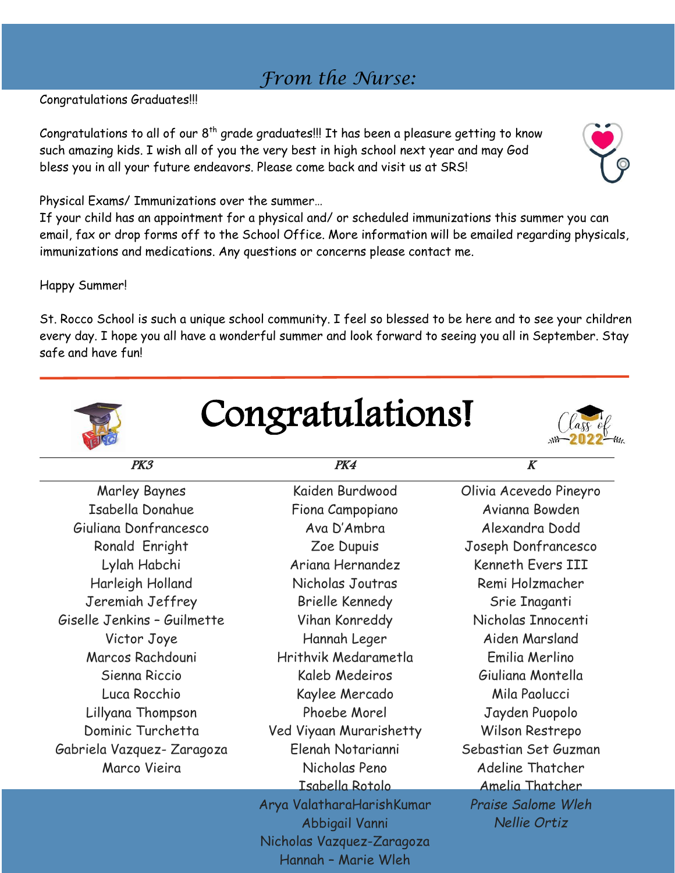# *From the Nurse:*

Congratulations Graduates!!!

Congratulations to all of our  $8<sup>th</sup>$  grade graduates!!! It has been a pleasure getting to know such amazing kids. I wish all of you the very best in high school next year and may God bless you in all your future endeavors. Please come back and visit us at SRS!

Physical Exams/ Immunizations over the summer…

If your child has an appointment for a physical and/ or scheduled immunizations this summer you can email, fax or drop forms off to the School Office. More information will be emailed regarding physicals, immunizations and medications. Any questions or concerns please contact me.

Happy Summer!

St. Rocco School is such a unique school community. I feel so blessed to be here and to see your children every day. I hope you all have a wonderful summer and look forward to seeing you all in September. Stay safe and have fun!

congratulations!

| PK3                         | PK4                       | $\boldsymbol{K}$       |
|-----------------------------|---------------------------|------------------------|
| <b>Marley Baynes</b>        | Kaiden Burdwood           | Olivia Acevedo Pineyro |
| Isabella Donahue            | Fiona Campopiano          | Avianna Bowden         |
| Giuliana Donfrancesco       | Ava D'Ambra               | Alexandra Dodd         |
| Ronald Enright              | Zoe Dupuis                | Joseph Donfrancesco    |
| Lylah Habchi                | Ariana Hernandez          | Kenneth Evers III      |
| Harleigh Holland            | Nicholas Joutras          | Remi Holzmacher        |
| Jeremiah Jeffrey            | <b>Brielle Kennedy</b>    | Srie Inaganti          |
| Giselle Jenkins - Guilmette | Vihan Konreddy            | Nicholas Innocenti     |
| Victor Joye                 | Hannah Leger              | Aiden Marsland         |
| Marcos Rachdouni            | Hrithvik Medarametla      | Emilia Merlino         |
| Sienna Riccio               | Kaleb Medeiros            | Giuliana Montella      |
| Luca Rocchio                | Kaylee Mercado            | Mila Paolucci          |
| Lillyana Thompson           | Phoebe Morel              | Jayden Puopolo         |
| Dominic Turchetta           | Ved Viyaan Murarishetty   | Wilson Restrepo        |
| Gabriela Vazquez-Zaragoza   | Elenah Notarianni         | Sebastian Set Guzman   |
| Marco Vieira                | Nicholas Peno             | Adeline Thatcher       |
|                             | Isabella Rotolo           | Amelia Thatcher        |
|                             | Arya ValatharaHarishKumar | Praise Salome Wleh     |
|                             | Abbigail Vanni            | Nellie Ortiz           |
|                             | Nicholas Vazquez-Zaragoza |                        |
|                             | Hannah - Marie Wleh       |                        |